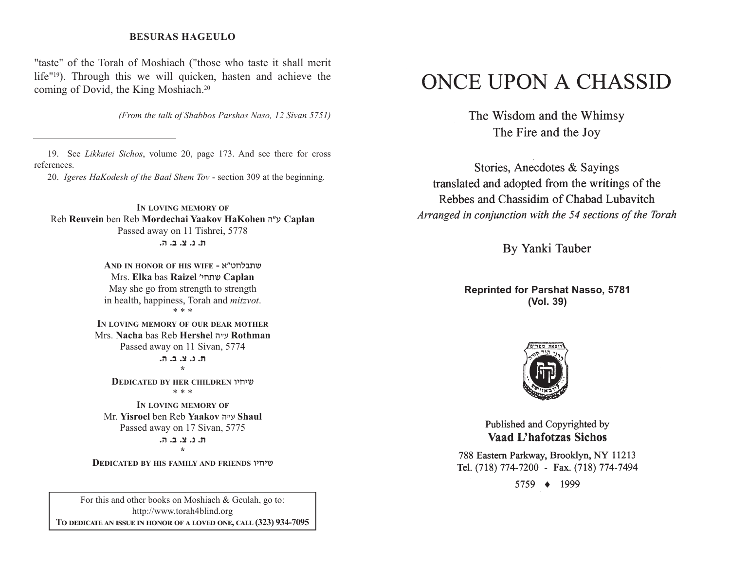### **BESURAS HAGEULO**

"taste" of the Torah of Moshiach ("those who taste it shall merit life"19). Through this we will quicken, hasten and achieve the coming of Dovid, the King Moshiach.20

*(From the talk of Shabbos Parshas Naso, 12 Sivan 5751)*

19. See *Likkutei Sichos*, volume 20, page 173. And see there for cross references.

20. *Igeres HaKodesh of the Baal Shem Tov* - section 309 at the beginning.

**IN LOVING MEMORY OF**Reb **Reuvein** ben Reb **Mordechai Yaakov HaKohen** v"g **Caplan** Passed away on 11 Tishrei, 5778 **/v /c /m /b /,**

> **AND IN HONOR OF HIS WIFE -** t"yjkc,a Mrs. **Elka** bas **Raizel** whj,a **Caplan** May she go from strength to strength in health, happiness, Torah and *mitzvot*. \* \* \***IN LOVING MEMORY OF OUR DEAR MOTHER**Mrs. **Nacha** bas Reb **Hershel** v"g **Rothman** Passed away on 11 Sivan, 5774 ת. נ. צ. ב. ה. **\*DEDICATED BY HER CHILDREN** uhjha \* \* \***IN LOVING MEMORY OF**Mr. **Yisroel** ben Reb **Yaakov** v"g **Shaul** Passed away on 17 Sivan, 5775 **/v /c /m /b /,\***

**DEDICATED BY HIS FAMILY AND FRIENDS** uhjha

For this and other books on Moshiach & Geulah, go to: http://www.torah4blind.org  $\bf{To \textbf{ DEDICATE \textbf{AN} \textbf{ ISSUE} \textbf{IN} \textbf{ HONOR} \textbf{OF} \textbf{A} \textbf{ LOVED} \textbf{ONE}, \textbf{CALL} \textbf{(323)} \textbf{934-7095}}$ 

# ONCE UPON A CHASSID

The Wisdom and the Whimsy The Fire and the Joy

Stories, Anecdotes & Sayings translated and adopted from the writings of the Rebbes and Chassidim of Chabad Lubavitch Arranged in conjunction with the 54 sections of the Torah

By Yanki Tauber

**Reprinted for Parshat Nasso, 5781 (Vol. 39)**



Published and Copyrighted by **Vaad L'hafotzas Sichos** 

788 Eastern Parkway, Brooklyn, NY 11213 Tel. (718) 774-7200 - Fax. (718) 774-7494

5759 ♦ 1999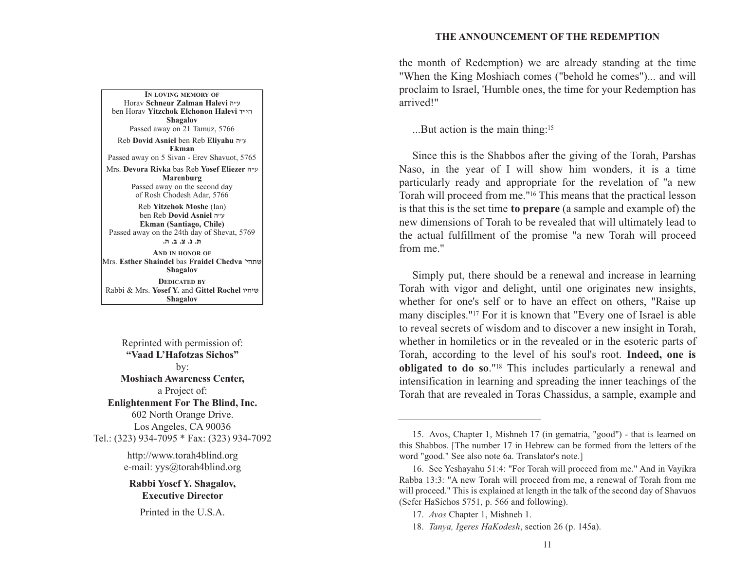#### **THE ANNOUNCEMENT OF THE REDEMPTION**

**IN LOVING MEMORY OF**Horav **Schneur Zalman Halevi** v"g ben Horav **Yitzchok Elchonon Halevi** s"hv**Shagalov** Passed away on 21 Tamuz, 5766 Reb **Dovid Asniel** ben Reb **Eliyahu** <sup>v</sup>"g **Ekman**Passed away on 5 Sivan - Erev Shavuot, 5765 Mrs. **Devora Rivka** bas Reb **Yosef Eliezer** v"g **Marenburg** Passed away on the second day of Rosh Chodesh Adar, 5766 Reb **Yitzchok Moshe** (Ian) ben Reb **Dovid Asniel** v"g **Ekman (Santiago, Chile)** Passed away on the 24th day of Shevat, 5769 **/v /c /m /b /,**

**AND IN HONOR OF**Mrs. **Esther Shaindel** bas **Fraidel Chedva** whj,a**Shagalov DEDICATED BY**Rabbi & Mrs. **Yosef Y.** and **Gittel Rochel** uhjha**Shagalov**

Reprinted with permission of: **"Vaad L'Hafotzas Sichos"**by: **Moshiach Awareness Center,** a Project of: **Enlightenment For The Blind, Inc.** 602 North Orange Drive. Los Angeles, CA 90036 Tel.: (323) 934-7095 \* Fax: (323) 934-7092

http://www.torah4blind.org e-mail: yys@torah4blind.org

**Rabbi Yosef Y. Shagalov, Executive Director**

Printed in the U.S.A.

the month of Redemption) we are already standing at the time "When the King Moshiach comes ("behold he comes")... and will proclaim to Israel, 'Humble ones, the time for your Redemption has arrived!"

...But action is the main thing:15

Since this is the Shabbos after the giving of the Torah, Parshas Naso, in the year of I will show him wonders, it is a time particularly ready and appropriate for the revelation of "a new Torah will proceed from me."16 This means that the practical lesson is that this is the set time **to prepare** (a sample and example of) the new dimensions of Torah to be revealed that will ultimately lead to the actual fulfillment of the promise "a new Torah will proceed from me."

Simply put, there should be a renewal and increase in learning Torah with vigor and delight, until one originates new insights, whether for one's self or to have an effect on others, "Raise up many disciples."17 For it is known that "Every one of Israel is able to reveal secrets of wisdom and to discover a new insight in Torah, whether in homiletics or in the revealed or in the esoteric parts of Torah, according to the level of his soul's root. **Indeed, one is obligated to do so**."18 This includes particularly a renewal and intensification in learning and spreading the inner teachings of the Torah that are revealed in Toras Chassidus, a sample, example and

<sup>15.</sup> Avos, Chapter 1, Mishneh 17 (in gematria, "good") - that is learned on this Shabbos. [The number 17 in Hebrew can be formed from the letters of the word "good." See also note 6a. Translator's note.]

<sup>16.</sup> See Yeshayahu 51:4: "For Torah will proceed from me." And in Vayikra Rabba 13:3: "A new Torah will proceed from me, a renewal of Torah from me will proceed." This is explained at length in the talk of the second day of Shavuos (Sefer HaSichos 5751, p. 566 and following).

<sup>17.</sup> *Avos* Chapter 1, Mishneh 1.

<sup>18.</sup> *Tanya, Igeres HaKodesh*, section 26 (p. 145a).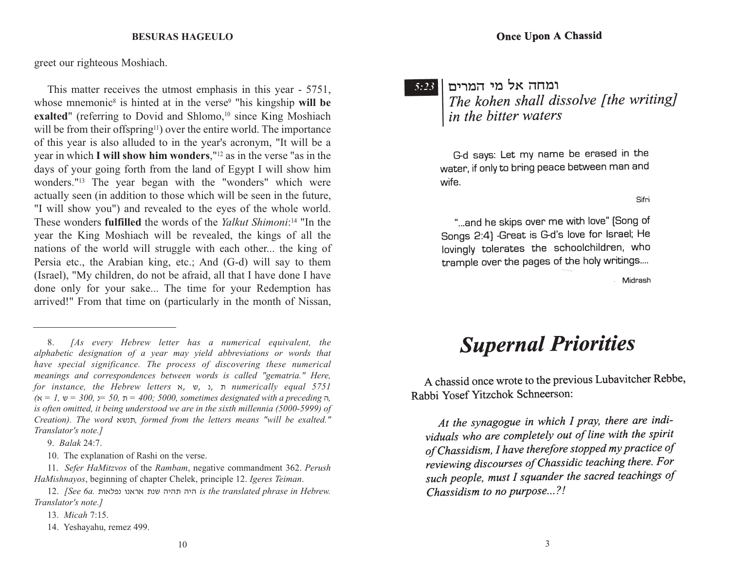#### **BESURAS HAGEULO**

greet our righteous Moshiach.

This matter receives the utmost emphasis in this year - 5751, whose mnemonic<sup>8</sup> is hinted at in the verse<sup>9</sup> "his kingship will be exalted" (referring to Dovid and Shlomo,<sup>10</sup> since King Moshiach will be from their offspring<sup>11</sup>) over the entire world. The importance of this year is also alluded to in the year's acronym, "It will be a year in which **I will show him wonders**,"12 as in the verse "as in the days of your going forth from the land of Egypt I will show him wonders."13 The year began with the "wonders" which were actually seen (in addition to those which will be seen in the future, "I will show you") and revealed to the eyes of the whole world. These wonders **fulfilled** the words of the *Yalkut Shimoni*:<sup>14</sup> "In the year the King Moshiach will be revealed, the kings of all the nations of the world will struggle with each other... the king of Persia etc., the Arabian king, etc.; And (G-d) will say to them (Israel), "My children, do not be afraid, all that I have done I have done only for your sake... The time for your Redemption has arrived!" From that time on (particularly in the month of Nissan,

9. *Balak* 24:7.

10. The explanation of Rashi on the verse.

11. *Sefer HaMitzvos* of the *Rambam*, negative commandment 362. *Perush HaMishnayos*, beginning of chapter Chelek, principle 12. *Igeres Teiman*.

12. *[See 6a. היה תהיה שנת אראנו נפלאות is the translated phrase in Hebrew. Translator's note.]*

10

13. *Micah* 7:15.

14. Yeshayahu, remez 499.

 $5:23$ 

## ומחה אל מי המרים The kohen shall dissolve [the writing] in the bitter waters

G-d says: Let my name be erased in the water, if only to bring peace between man and wife.

Sifri

"...and he skips over me with love" (Song of Songs 2:4) -Great is G-d's love for Israel; He lovingly tolerates the schoolchildren, who trample over the pages of the holy writings....

Midrash

# **Supernal Priorities**

A chassid once wrote to the previous Lubavitcher Rebbe, Rabbi Yosef Yitzchok Schneerson:

<sup>8.</sup> *[As every Hebrew letter has a numerical equivalent, the alphabetic designation of a year may yield abbreviations or words that have special significance. The process of discovering these numerical meanings and correspondences between words is called "gematria." Here, for instance, the Hebrew letters*  <sup>t</sup>, a, b, , *numerically equal 5751*   $\alpha$  *(*x = 1, ש $=$  300,  $\beta$  50,  $\pi$  = 400; 5000, sometimes designated with a preceding  $\pi$ *is often omitted, it being understood we are in the sixth millennia (5000-5999) of Creation). The word* tab,*, formed from the letters means "will be exalted." Translator's note.]*

At the synagogue in which I pray, there are individuals who are completely out of line with the spirit of Chassidism, I have therefore stopped my practice of reviewing discourses of Chassidic teaching there. For such people, must I squander the sacred teachings of Chassidism to no purpose...?!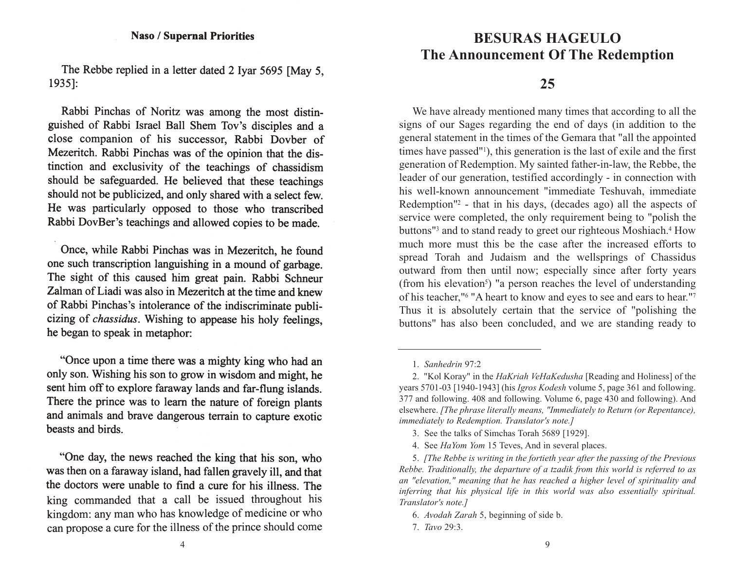### **Naso / Supernal Priorities**

The Rebbe replied in a letter dated 2 Ivar 5695 [May 5,  $1935$ :

Rabbi Pinchas of Noritz was among the most distinguished of Rabbi Israel Ball Shem Tov's disciples and a close companion of his successor, Rabbi Dovber of Mezeritch. Rabbi Pinchas was of the opinion that the distinction and exclusivity of the teachings of chassidism should be safeguarded. He believed that these teachings should not be publicized, and only shared with a select few. He was particularly opposed to those who transcribed Rabbi DovBer's teachings and allowed copies to be made.

Once, while Rabbi Pinchas was in Mezeritch, he found one such transcription languishing in a mound of garbage. The sight of this caused him great pain. Rabbi Schneur Zalman of Liadi was also in Mezeritch at the time and knew of Rabbi Pinchas's intolerance of the indiscriminate publicizing of *chassidus*. Wishing to appease his holy feelings, he began to speak in metaphor:

"Once upon a time there was a mighty king who had an only son. Wishing his son to grow in wisdom and might, he sent him off to explore faraway lands and far-flung islands. There the prince was to learn the nature of foreign plants and animals and brave dangerous terrain to capture exotic beasts and birds.

"One day, the news reached the king that his son, who was then on a faraway island, had fallen gravely ill, and that the doctors were unable to find a cure for his illness. The king commanded that a call be issued throughout his kingdom: any man who has knowledge of medicine or who can propose a cure for the illness of the prince should come

## **THE BESURAS HAGEULO The Announcement Of The Redemption**

## **25**

We have already mentioned many times that according to all the signs of our Sages regarding the end of days (in addition to the general statement in the times of the Gemara that "all the appointed times have passed"1), this generation is the last of exile and the first generation of Redemption. My sainted father-in-law, the Rebbe, the leader of our generation, testified accordingly - in connection with his well-known announcement "immediate Teshuvah, immediate Redemption"2 - that in his days, (decades ago) all the aspects of service were completed, the only requirement being to "polish the buttons"<sup>3</sup> and to stand ready to greet our righteous Moshiach.<sup>4</sup> How much more must this be the case after the increased efforts tospread Torah and Judaism and the wellsprings of Chassidus outward from then until now; especially since after forty years (from his elevation<sup>5</sup>) "a person reaches the level of understanding of his teacher,"6 "A heart to know and eyes to see and ears to hear."7 Thus it is absolutely certain that the service of "polishing the buttons" has also been concluded, and we are standing ready to

<sup>1.</sup> *Sanhedrin* 97:2

<sup>2. &</sup>quot;Kol Koray" in the *HaKriah VeHaKedusha* [Reading and Holiness] of the years 5701-03 [1940-1943] (his *Igros Kodesh* volume 5, page 361 and following. 377 and following. 408 and following. Volume 6, page 430 and following). And elsewhere. *[The phrase literally means, "Immediately to Return (or Repentance), immediately to Redemption. Translator's note.]*

<sup>3.</sup> See the talks of Simchas Torah 5689 [1929].

<sup>4.</sup> See *HaYom Yom* 15 Teves, And in several places.

<sup>5.</sup> *[The Rebbe is writing in the fortieth year after the passing of the Previous Rebbe. Traditionally, the departure of a tzadik from this world is referred to as an "elevation," meaning that he has reached a higher level of spirituality and inferring that his physical life in this world was also essentially spiritual. Translator's note.]*

<sup>6.</sup> *Avodah Zarah* 5, beginning of side b.

<sup>7.</sup> *Tavo* 29:3.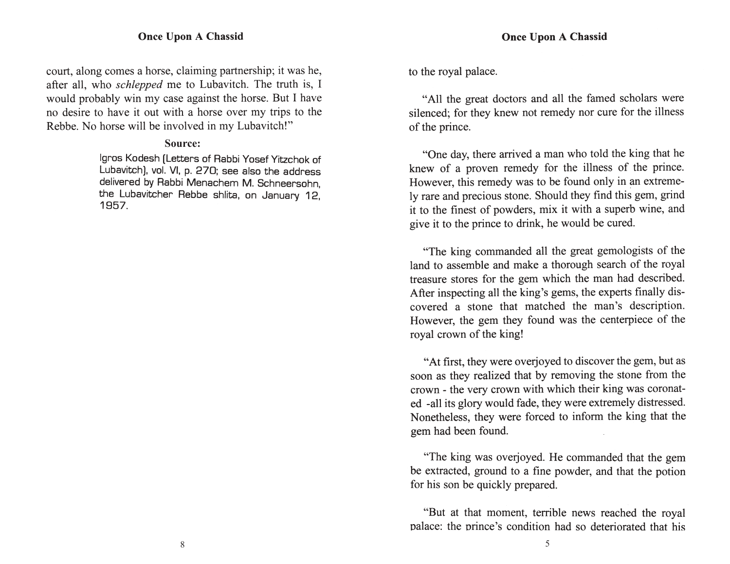### **Once Upon A Chassid**

court, along comes a horse, claiming partnership; it was he, after all, who *schlepped* me to Lubavitch. The truth is, I would probably win my case against the horse. But I have no desire to have it out with a horse over my trips to the Rebbe. No horse will be involved in my Lubavitch!"

### Source:

Igros Kodesh (Letters of Rabbi Yosef Yitzchok of Lubavitch), vol. VI, p. 270; see also the address delivered by Rabbi Menachem M. Schneersohn, the Lubavitcher Rebbe shlita, on January 12, 1957.

to the royal palace.

"All the great doctors and all the famed scholars were silenced; for they knew not remedy nor cure for the illness of the prince.

"One day, there arrived a man who told the king that he knew of a proven remedy for the illness of the prince. However, this remedy was to be found only in an extremely rare and precious stone. Should they find this gem, grind it to the finest of powders, mix it with a superb wine, and give it to the prince to drink, he would be cured.

"The king commanded all the great gemologists of the land to assemble and make a thorough search of the royal treasure stores for the gem which the man had described. After inspecting all the king's gems, the experts finally discovered a stone that matched the man's description. However, the gem they found was the centerpiece of the royal crown of the king!

"At first, they were overjoyed to discover the gem, but as soon as they realized that by removing the stone from the crown - the very crown with which their king was coronated -all its glory would fade, they were extremely distressed. Nonetheless, they were forced to inform the king that the gem had been found.

"The king was overjoyed. He commanded that the gem be extracted, ground to a fine powder, and that the potion for his son be quickly prepared.

"But at that moment, terrible news reached the royal palace: the prince's condition had so deteriorated that his